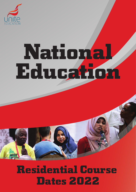

# National Education

# Residential Course Dates 2022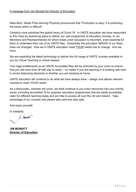# A message from Jim Mowatt the Director of Education

Niels Bohr, Nobel Prize winning Physicist pronounced that 'Production is easy; it is predicting the future which is difficult!'

Certainly none predicted the global havoc of Covid-19. In UNITE education we have responded to this crisis by examining ways to deliver our vast programme of education courses, to our Members and Representatives for whom trade union education is important, even essential for them to undertake their role of an UNITE Rep. Essentially the education NEEDS of our Reps have not changed. How we in UNITE education meet YOUR needs has to change. And we have.

We are exploiting the latest technology to deliver the full range of UNITE courses available to you by Virtual Teaching in virtual classes.

Your legal entitlements as an UNITE Accredited Rep will be enforced by your union to ensure that you will have time off with pay to study  $-$  no matter if you are learning in a building with built in social distancing elements or whether you are studying at home.

UNITE education will continue to do what we have always done – design and deliver relevant courses to meet YOUR needs.

As a democratic, member led union, we shall continue to put union resources into your priority areas, providing accredited 'fit for purpose' education programmes that are easily accessible, cater for different learning styles and are free to access all over the UK and Ireland. Take advantage of our courses and please take care and stay safe.

And enjoy yourself.

In solidarity

12 Monsett

**JIM MOWATT Director of Education**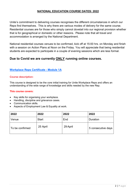# **NATIONAL EDUCATION COURSE DATES: 2022**

Unite's commitment to delivering courses recognises the different circumstances in which our Reps find themselves. This is why there are various modes of delivery for the same course. Residential courses are for those who simply cannot dovetail into our regional provision whether that is for geographical or domestic or other reasons. Please note that all travel and accommodation is arranged by the National Department.

National residential courses venues to be confirmed, kick off at 15:00 hrs. on Monday and finish with a session on Action Plans at Noon on the Friday. You will appreciate that being residential students are expected to participate in a couple of evening sessions which are less formal.

# **Due to Covid we are currently ONLY running online courses.**

# **Workplace Reps Certificate - Module 1A**

#### **Course description:**

This course is designed to be the core initial training for Unite Workplace Reps and offers an understanding of the wide range of knowledge and skills needed by the new Rep.

- Key skills for organising your workplace.
- Handling, discipline and grievance cases.
- Communication skills.
- Aspects of Employment Law & Equality at work.

| 2022            | 2022         | 2022     | 2022               |
|-----------------|--------------|----------|--------------------|
| Venue           | <b>Start</b> | End      | Duration           |
| To be confirmed | 25 April     | 29 April | 5 consecutive days |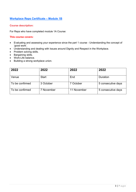# **Workplace Reps Certificate ± Module 1B**

#### **Course description:**

For Reps who have completed module 1A Course:

- Evaluating and assessing your experience since the part 1 course Understanding the concept of 'good work'.
- Understanding and dealing with Issues around Dignity and Respect in the Workplace.
- $\bullet$  Problem solving skills.
- Bargaining skills.
- Work-Life balance.
- Building a strong workplace union.

| 2022            | 2022       | 2022        | 2022               |
|-----------------|------------|-------------|--------------------|
| Venue           | Start      | End         | Duration           |
| To be confirmed | 3 October  | 7 October   | 5 consecutive days |
| To be confirmed | 7 November | 11 November | 5 consecutive days |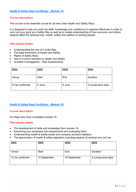#### **Course description:**

This course is the essential course for all new Unite Health and Safety Reps.

It is designed to help you build the skills, knowledge and confidence to organise effectively in order to carry out your work as a Safety Rep as well as to create understanding of how economic and others aspects affect the working lives, health, safety and welfare of working people.

#### **This course covers:**

- Understanding the role of a Unite Rep.
- The legal framework of Health and Safety.
- Rights of Safety Reps
- How to involve members in Health and Safety.
- $\bullet$  Accident Investigations  $-$  Risk Assessments.

| 2022            | 2022         | 2022   | 2022               |
|-----------------|--------------|--------|--------------------|
| Venue           | <b>Start</b> | End    | Duration           |
| To be confirmed | 4 June       | 8 June | 5 consecutive days |

#### **Health & Safety Reps Certificate ± Module 1B**

#### **Course description:**

For Reps who have completed module 1A

- The development of skills and knowledge from module 1A.
- Examining your workplace risk assessments and evaluating them.
- Understanding health & safety audits and company accident statistics.
- The appreciation of health & safety legislation including aspects of criminal and civil law.

| 2022            | 2022         | 2022         | 2022               |
|-----------------|--------------|--------------|--------------------|
| Venue           | <b>Start</b> | End          | Duration           |
| To be confirmed | 12 September | 16 September | 5 consecutive days |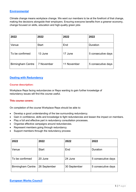# **Environmental**

Climate change means workplace change. We want our members to be at the forefront of that change, making the decisions alongside their employers. Ensuring everyone benefits from a greener economy, change focused on skills, education and high-quality green jobs

| 2022                     | 2022         | 2022        | 2022               |
|--------------------------|--------------|-------------|--------------------|
| Venue                    | <b>Start</b> | End         | Duration           |
| To be confirmed          | 13 June      | 17 June     | 5 consecutive days |
| <b>Birmingham Centre</b> | 7 November   | 11 November | 5 consecutive days |

# **Dealing with Redundancy**

#### **Course description:**

Workplace Reps facing redundancies or Reps wanting to gain further knowledge of redundancy issues will find this course useful.

#### **This course covers:**

On completion of the course Workplace Reps should be able to:

- Develop a good understanding of the law surrounding redundancy.
- Gain in confidence, skills and knowledge to fight redundancies and lessen the impact on members.
- Play a full and effective part in redundancy consultation processes.
- Organise effective campaigns around redundancies.
- Represent members going through redundancy.
- Support members through the redundancy process

| 2022                     | 2022         | 2022         | 2022               |
|--------------------------|--------------|--------------|--------------------|
| Venue                    | <b>Start</b> | End          | Duration           |
| To be confirmed          | 20 June      | 24 June      | 5 consecutive days |
| <b>Birmingham Centre</b> | 26 September | 30 September | 5 consecutive days |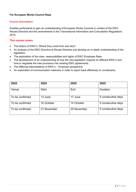## **For European Works Council Reps**

#### **Course description:**

Enables participants to gain an understanding of European Works Councils in context of the EWC Recast Directive and the amendments to the Transnational Information and Consultation Regulations 2010.

- The history of EWC's. Where they come from and why?
- An analysis of the EWC Directive & Recast Directive and develop an in-depth understanding of the legislation.
- The exploration of the roles, responsibilities and rights of EWC Employee Reps.
- The development of an understanding of how the new legislation impacts on different EWC's and how to negotiate the new provisions into existing EWC agreements.
- The differing interpretations of  $EWC's Employer$  perspective.
- An exploration of communication networks in order to report back effectively to constituents.

| 2022            | 2022         | 2022        | 2022               |
|-----------------|--------------|-------------|--------------------|
| Venue           | <b>Start</b> | End         | Duration           |
| To be confirmed | 13 June      | 17 June     | 5 consecutive days |
| To be confirmed | 10 October   | 14 October  | 5 consecutive days |
| To be confirmed | 21 November  | 25 November | 5 consecutive days |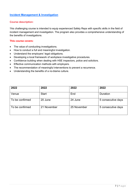# **Incident Management & Investigation**

#### **Course description:**

This challenging course is intended to equip experienced Safety Reps with specific skills in the field of incident management and investigation. The program also provides a comprehensive understanding of the benefits of investigations.

- The value of conducting investigations.
- How to conduct a full and meaningful investigation.
- $\bullet$  Understand the employers' legal obligations.
- Developing a local framework of workplace investigative procedures.
- Confidence building when dealing with HSE inspectors, police and solicitors.
- **•** Effective communication methods with employers.
- The recommendation of meaningful interventions to prevent a recurrence.
- Understanding the benefits of a no-blame culture.

| 2022            | 2022         | 2022        | 2022               |
|-----------------|--------------|-------------|--------------------|
| Venue           | <b>Start</b> | End         | Duration           |
| To be confirmed | 20 June      | 24 June     | 5 consecutive days |
| To be confirmed | 21 November  | 25 November | 5 consecutive days |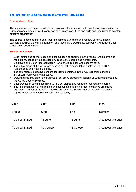# **The Information & Consultation of Employee Regulations**

#### **Course description:**

This course focuses on areas where the provision of information and consultation is prescribed by European and domestic law. It examines how unions can utilise and build on these rights to develop effective organisation.

The course is designed for Senior Rep and aims to give them an overview of relevant legal standards equipping them to strengthen and reconfigure workplace, company and transnational consultation arrangements.

- Legal definitions of information and consultation as specified in the various enactments and regulations, contrasting these rights with collective bargaining agreements.
- Employee and Union Representation what the legislation and caselaw says.
- Three key areas of the law where specific collective consultation rights kick-in re TUPE, Redundancy and Health & Safety.
- The extension of collective consultation rights contained in the ICE regulations and the European Works Council Directive.
- Obtaining information for the purpose of collective bargaining, looking at Legal standards and the ACAS Code of Practice.
- **•** Best practice in using these rights will be developed and refined throughout the course.
- The implementation of information and consultation rights in order to enhance organising agendas, member participation, mobilisation and unionisation in order to build the unions representational and collective bargaining capacity.

| 2022            | 2022         | 2022       | 2022                |
|-----------------|--------------|------------|---------------------|
| Venue           | <b>Start</b> | End        | Duration            |
| To be confirmed | 13 June      | 15 June    | 3 consecutive days. |
| To be confirmed | 10 October   | 12 October | 3 consecutive days  |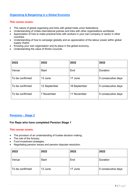# **Organising & Bargaining in a Global Economy**

#### **This course covers:**

- The nature of global organising and links with global trade union federations.
- Understanding of Unites international policies and links with other organisations worldwide.
- Appreciation of how to make practical links with workers in your own company or sector in other countries.
- Understanding of how to campaign globally and an appreciation of the labour power within global supply chains.
- Knowing your own organisation and its place in the global economy.
- Understanding the value of Works Councils.

| 2022            | 2022         | 2022         | 2022               |
|-----------------|--------------|--------------|--------------------|
| Venue           | <b>Start</b> | End          | Duration           |
| To be confirmed | 13 June      | 17 June      | 5 consecutive days |
| To be confirmed | 12 September | 16 September | 5 consecutive days |
| To be confirmed | 7 November   | 11 November  | 5 consecutive days |

#### **Pensions ± Stage 2**

#### **For Reps who have completed Pension Stage 1**

- The provision of an understanding of trustee decision making.
- The role of the Actuary.
- Fund investment strategies.
- Negotiating pension issues and pension disputes resolution.

| 2022            | 2022         | 2022    | 2022               |
|-----------------|--------------|---------|--------------------|
| Venue           | <b>Start</b> | End     | Duration           |
| To be confirmed | 13 June      | 17 June | 5 consecutive days |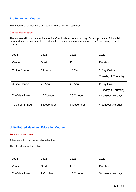# **Pre-Retirement Course**

This course is for members and staff who are nearing retirement.

#### **Course description:**

This course will provide members and staff with a brief understanding of the importance of financial preparedness for retirement. In addition to the importance of preparing for one's wellbeing through retirement.

| 2022                 | 2022         | 2022       | 2022                               |
|----------------------|--------------|------------|------------------------------------|
| Venue                | <b>Start</b> | End        | Duration                           |
| <b>Online Course</b> | 8 March      | 10 March   | 2 Day Online<br>Tuesday & Thursday |
| <b>Online Course</b> | 26 April     | 28 April   | 2 Day Online<br>Tuesday & Thursday |
| The View Hotel       | 17 October   | 20 October | 4 consecutive days                 |
| To be confirmed      | 5 December   | 8 December | 4 consecutive days                 |

# **Unite Retired Members' Education Course**

#### To attend the course:

Attendance to this course is by selection.

The attendee must be retired.

| 2022           | 2022         | 2022       | 2022               |
|----------------|--------------|------------|--------------------|
| Venue          | <b>Start</b> | End        | Duration           |
| The View Hotel | 9 October    | 13 October | 5 consecutive days |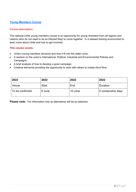# **Young Members Course**

#### **Course description:**

The national Unite young members course is an opportunity for young members from all regions and nations (who do not need to be an Elected Rep) to come together. In a relaxed training environment to learn more about Unite and how to get involved.

#### **This course covers:**

- Unite's young members structure and how it fit into the wider union.
- A session on the union's International, Political, Industrial and Environmental Policies and Campaigns.
- A brief analysis of how to develop a good campaign.
- Creative elements providing the opportunity to work with others to create short films.

| 2022            | 2022         | 2022    | 2022               |
|-----------------|--------------|---------|--------------------|
| Venue           | <b>Start</b> | End     | Duration           |
| To be confirmed | 6 June       | 10 June | 5 consecutive days |

**Please note:** For information only as attendance will be by selection.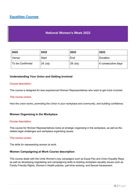# **Equalities Courses**

# **National Women's Week 2022**

| 2022            | 2022         | 2022    | 2022               |
|-----------------|--------------|---------|--------------------|
| Venue           | <b>Start</b> | End     | Duration           |
| To be Confirmed | 24 July      | 29 July | 6 consecutive days |

# **Understanding Your Union and Getting Involved**

#### Course description:

This course is designed for less experienced Women Representatives who want to get more involved.

#### This course covers:

How the union works, promoting the Union in your workplace and community, and building confidence.

#### **Women Organising in the Workplace**

#### Course description:

This course for Women Representatives looks at strategic organising in the workplace, as well as the related legal challenges and workplace organising issues.

#### This course covers:

The skills for representing women at work.

#### **Women Campaigning at Work Course description**:

This course deals with the Unite Women's key campaigns such as Equal Pay and Union Equality Reps, as well as developing negotiating and campaigning skills to tackling workplace equality issues such as Family Friendly Rights, Women's Health policies, part-time working, and Sexual harassment.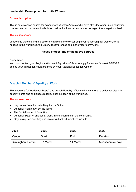# **Leadership Development for Unite Women**

#### Course description:

This is an advanced course for experienced Women Activists who have attended other union education courses, and who now want to build on their union involvement and encourage others to get involved.

#### This course covers:

Leadership theories and the power dynamics of the worker employer relationship for women, skills needed in the workplace, the Union, at conferences and in the wider community.

#### **Please choose one of the above courses**

#### **Remember:**

You must contact your Regional Women & Equalities Officer to apply for Women's Week BEFORE getting your application countersigned by your Regional Education Officer

#### **Disabled Members' Equality at Work**

This course is for Workplace Reps', and branch Equality Officers who want to take action for disability equality rights and challenge disability discrimination at the workplace.

- Key issues from the Unite Negotiators Guide.
- Disability Rights at Work including.
- The Social Model of Disability.
- Disability Equality: choices at work, in the union and in the community.
- Organising, representing and involving disabled members in Unite.

| 2022                     | 2022         | 2022     | 2022               |
|--------------------------|--------------|----------|--------------------|
| <b>Venue</b>             | <b>Start</b> | End      | Duration           |
| <b>Birmingham Centre</b> | 7 March      | 11 March | 5 consecutive days |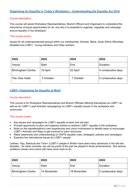#### Course description:

This course will assist Workplace Representatives, Branch Officers and Organisers to understand the importance of equal opportunities for all, and why it is essential to organise, negotiate and campaign around equality in the workplace.

#### This course covers:

Issues for all underrepresented groups within our membership: Women, Black, Asian Ethnic Minorities, Disabled and LGBT+, Young members and Older workers.

| 2022                     | 2022         | 2022      | 2022               |
|--------------------------|--------------|-----------|--------------------|
| Venue                    | <b>Start</b> | End       | Duration           |
| <b>Birmingham Centre</b> | 19 April     | 22 April  | 4 consecutive days |
| The View Hotel           | 3 October    | 7 October | 5 consecutive days |

#### **LGBT+ Organising for Equality at Work**

#### Course description:

This course is for Workplace Representatives and Branch Officials defining themselves as LGBT+ as well as for LGBT+ Lead Activists campaigning on LGBT+ equality issues in the workplace and community.

#### This course covers:

- Key issues and campaigns for LGBT+ equality at work and will also.
- Provide opportunity to plan and organize actions to achieve LGBT+ equality in the workplace.
- Build on the representative's own experiences and union involvement to identify ways to encourage LGBT+ Activists and Reps to get involved in union structures.
- Raise awareness and understanding on UNITE equality rules, strategies, policies and campaigns.
- Examine the international issues for LGBT+ people

Lesbian, Gay, Bisexual and Tans+ (LGBT+) people in Britain have seen many advances in the last two decades. As trade unionists, we can be proud of the part we played in those achievements. But serious problems remain and unions still have much work to do.

| 2022                     | 2022         | 2022        | 2022               |
|--------------------------|--------------|-------------|--------------------|
| Venue                    | <b>Start</b> | End         | Duration           |
| <b>Birmingham Centre</b> | 14 November  | 18 November | 5 consecutive days |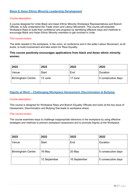# **Black & Asian Ethnic Minority Leadership Development**

#### Course description:

A course designed for Unite Black and Asian Ethnic Minority Workplace Representatives and Branch Officials, to fully understand the Trade Union and Labour Movement. This course will empower Workplace Reps to build their confidence and progress by identifying effective ways and methods to encourage Black and Asian Ethnic Minority members to get involved in Unite.

#### This course covers:

The skills needed in the workplace, in the union, at conference and in the wider Labour Movement, at all levels, to build involvement and take action for Race Equality.

# **This course positively encourages applications from black and Asian ethnic minority women.**

| 2022                     | 2022         | 2022    | 2022               |
|--------------------------|--------------|---------|--------------------|
| Venue                    | <b>Start</b> | End     | Duration           |
| <b>Birmingham Centre</b> | 13 June      | 17 June | 5 consecutive days |

# **Dignity at Work ± Challenging Workplace Harassment, Discrimination & Bullying**

#### Course description:

This course is designed for Workplace Reps and Branch Equality Officials and looks at the key issue of Harassment, Discrimination and Bullying that leads to workplace stress.

#### This course covers:

The course examines ways to challenge inappropriate behaviors in the workplace by using effective strategies and methods to prevent workplace harassment and to promote Dignity at the Workplace.

| 2022                     | 2022         | 2022         | 2022               |
|--------------------------|--------------|--------------|--------------------|
| Venue                    | <b>Start</b> | End          | Duration           |
| <b>Birmingham Centre</b> | 16 May       | 20 May       | 5 consecutive days |
|                          | 12 September | 16 September | 5 consecutive days |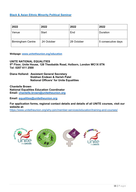# **Black & Asian Ethnic Minority Political Seminar**

| 2022                     | 2022         | 2022       | 2022               |
|--------------------------|--------------|------------|--------------------|
| Venue                    | <b>Start</b> | End        | Duration           |
| <b>Birmingham Centre</b> | 24 October   | 28 October | 5 consecutive days |

**Webpage: [www.unitetheunion.org/education](http://www.unitetheunion.org/education)**

**UNITE NATIONAL EQUALITIES 5th Floor, Unite House, 128 Theobalds Road, Holborn, London WC1X 8TN Tel: 0207 611 2500**

**Diana Holland: Assistant General Secretary Siobhan Endean & Harish Patel National Officers' for Unite Equalities** 

**Chantelle Brown National Equalities Education Coordinator Email: [chantelle.brown@unitetheunion.org](mailto:chantelle.brown@unitetheunion.org)** 

**Email: [equalities@unitetheunion.org](mailto:equalities@unitetheunion.org)**

**For application forms, regional contact details and details of all UNITE courses, visit our website at:** 

https://www.unitetheunion.org/why-join/member-services/education/training-and-courses/